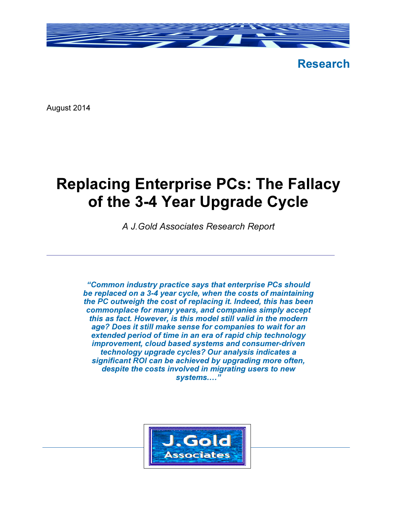

Research

August 2014

# Replacing Enterprise PCs: The Fallacy of the 3-4 Year Upgrade Cycle

A J.Gold Associates Research Report

"Common industry practice says that enterprise PCs should be replaced on a 3-4 year cycle, when the costs of maintaining the PC outweigh the cost of replacing it. Indeed, this has been commonplace for many years, and companies simply accept this as fact. However, is this model still valid in the modern age? Does it still make sense for companies to wait for an extended period of time in an era of rapid chip technology improvement, cloud based systems and consumer-driven technology upgrade cycles? Our analysis indicates a significant ROI can be achieved by upgrading more often, despite the costs involved in migrating users to new systems...."

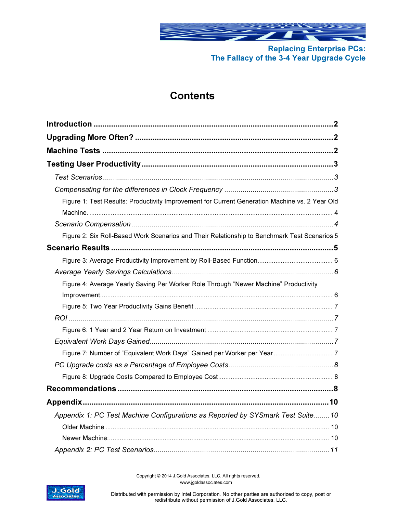

# **Contents**

| Figure 1: Test Results: Productivity Improvement for Current Generation Machine vs. 2 Year Old |
|------------------------------------------------------------------------------------------------|
|                                                                                                |
| Figure 2: Six Roll-Based Work Scenarios and Their Relationship to Benchmark Test Scenarios 5   |
|                                                                                                |
|                                                                                                |
|                                                                                                |
| Figure 4: Average Yearly Saving Per Worker Role Through "Newer Machine" Productivity           |
|                                                                                                |
|                                                                                                |
|                                                                                                |
|                                                                                                |
|                                                                                                |
|                                                                                                |
|                                                                                                |
|                                                                                                |
|                                                                                                |
|                                                                                                |
| Appendix 1: PC Test Machine Configurations as Reported by SYSmark Test Suite10                 |
|                                                                                                |
|                                                                                                |
|                                                                                                |

 Copyright © 2014 J.Gold Associates, LLC. All rights reserved. www.jgoldassociates.com

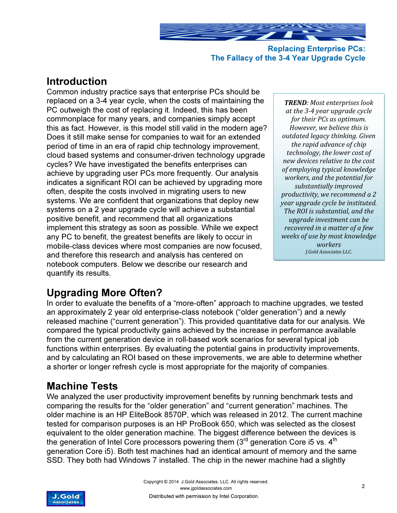

Replacing Enterprise PCs: The Fallacy of the 3-4 Year Upgrade Cycle

# Introduction

Common industry practice says that enterprise PCs should be replaced on a 3-4 year cycle, when the costs of maintaining the PC outweigh the cost of replacing it. Indeed, this has been commonplace for many years, and companies simply accept this as fact. However, is this model still valid in the modern age? Does it still make sense for companies to wait for an extended period of time in an era of rapid chip technology improvement, cloud based systems and consumer-driven technology upgrade cycles? We have investigated the benefits enterprises can achieve by upgrading user PCs more frequently. Our analysis indicates a significant ROI can be achieved by upgrading more often, despite the costs involved in migrating users to new systems. We are confident that organizations that deploy new systems on a 2 year upgrade cycle will achieve a substantial positive benefit, and recommend that all organizations implement this strategy as soon as possible. While we expect any PC to benefit, the greatest benefits are likely to occur in mobile-class devices where most companies are now focused, and therefore this research and analysis has centered on notebook computers. Below we describe our research and quantify its results.

TREND: Most enterprises look at the 3-4 year upgrade cycle for their PCs as optimum. However, we believe this is outdated legacy thinking. Given the rapid advance of chip technology, the lower cost of new devices relative to the cost of employing typical knowledge workers, and the potential for substantially improved productivity, we recommend a 2 year upgrade cycle be instituted. The ROI is substantial, and the upgrade investment can be recovered in a matter of a few weeks of use by most knowledge workers J.Gold Associates LLC.

# Upgrading More Often?

In order to evaluate the benefits of a "more-often" approach to machine upgrades, we tested an approximately 2 year old enterprise-class notebook ("older generation") and a newly released machine ("current generation"). This provided quantitative data for our analysis. We compared the typical productivity gains achieved by the increase in performance available from the current generation device in roll-based work scenarios for several typical job functions within enterprises. By evaluating the potential gains in productivity improvements, and by calculating an ROI based on these improvements, we are able to determine whether a shorter or longer refresh cycle is most appropriate for the majority of companies.

# Machine Tests

We analyzed the user productivity improvement benefits by running benchmark tests and comparing the results for the "older generation" and "current generation" machines. The older machine is an HP EliteBook 8570P, which was released in 2012. The current machine tested for comparison purposes is an HP ProBook 650, which was selected as the closest equivalent to the older generation machine. The biggest difference between the devices is the generation of Intel Core processors powering them  $(3<sup>rd</sup>$  generation Core i5 vs.  $4<sup>th</sup>$ generation Core i5). Both test machines had an identical amount of memory and the same SSD. They both had Windows 7 installed. The chip in the newer machine had a slightly

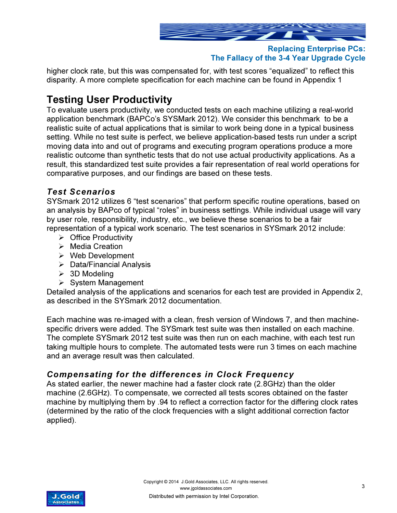

higher clock rate, but this was compensated for, with test scores "equalized" to reflect this disparity. A more complete specification for each machine can be found in Appendix 1

# Testing User Productivity

To evaluate users productivity, we conducted tests on each machine utilizing a real-world application benchmark (BAPCo's SYSMark 2012). We consider this benchmark to be a realistic suite of actual applications that is similar to work being done in a typical business setting. While no test suite is perfect, we believe application-based tests run under a script moving data into and out of programs and executing program operations produce a more realistic outcome than synthetic tests that do not use actual productivity applications. As a result, this standardized test suite provides a fair representation of real world operations for comparative purposes, and our findings are based on these tests.

# Test Scenarios

SYSmark 2012 utilizes 6 "test scenarios" that perform specific routine operations, based on an analysis by BAPco of typical "roles" in business settings. While individual usage will vary by user role, responsibility, industry, etc., we believe these scenarios to be a fair representation of a typical work scenario. The test scenarios in SYSmark 2012 include:

- $\triangleright$  Office Productivity
- $\triangleright$  Media Creation
- $\triangleright$  Web Development
- $\triangleright$  Data/Financial Analysis
- $\geq$  3D Modeling
- $\triangleright$  System Management

Detailed analysis of the applications and scenarios for each test are provided in Appendix 2, as described in the SYSmark 2012 documentation.

Each machine was re-imaged with a clean, fresh version of Windows 7, and then machinespecific drivers were added. The SYSmark test suite was then installed on each machine. The complete SYSmark 2012 test suite was then run on each machine, with each test run taking multiple hours to complete. The automated tests were run 3 times on each machine and an average result was then calculated.

### Compensating for the differences in Clock Frequency

As stated earlier, the newer machine had a faster clock rate (2.8GHz) than the older machine (2.6GHz). To compensate, we corrected all tests scores obtained on the faster machine by multiplying them by .94 to reflect a correction factor for the differing clock rates (determined by the ratio of the clock frequencies with a slight additional correction factor applied).

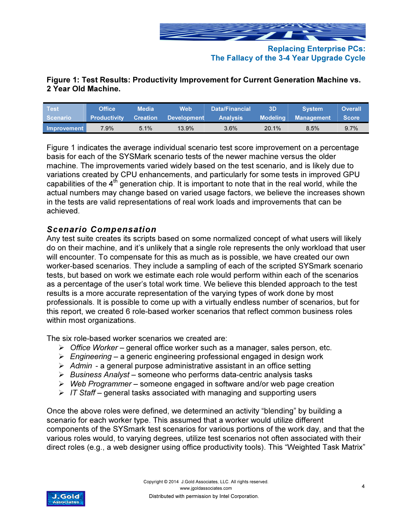

### Figure 1: Test Results: Productivity Improvement for Current Generation Machine vs. 2 Year Old Machine.

| ∣ Test <sup>∖</sup> | Office              | <b>Media</b>    | <b>Web</b>         | Data/Financial  | 3D              | <b>System</b> | <b>Overall</b> |
|---------------------|---------------------|-----------------|--------------------|-----------------|-----------------|---------------|----------------|
| ∣ Scenario∶         | <b>Productivity</b> | <b>Creation</b> | <b>Development</b> | <b>Analysis</b> | <b>Modeling</b> | Management    | <b>Score</b>   |
| Improvement         | $7.9\%$             | 5.1%            | 13.9%              | 3.6%            | 20.1%           | 8.5%          | $9.7\%$        |

Figure 1 indicates the average individual scenario test score improvement on a percentage basis for each of the SYSMark scenario tests of the newer machine versus the older machine. The improvements varied widely based on the test scenario, and is likely due to variations created by CPU enhancements, and particularly for some tests in improved GPU capabilities of the  $4<sup>th</sup>$  generation chip. It is important to note that in the real world, while the actual numbers may change based on varied usage factors, we believe the increases shown in the tests are valid representations of real work loads and improvements that can be achieved.

### Scenario Compensation

Any test suite creates its scripts based on some normalized concept of what users will likely do on their machine, and it's unlikely that a single role represents the only workload that user will encounter. To compensate for this as much as is possible, we have created our own worker-based scenarios. They include a sampling of each of the scripted SYSmark scenario tests, but based on work we estimate each role would perform within each of the scenarios as a percentage of the user's total work time. We believe this blended approach to the test results is a more accurate representation of the varying types of work done by most professionals. It is possible to come up with a virtually endless number of scenarios, but for this report, we created 6 role-based worker scenarios that reflect common business roles within most organizations.

The six role-based worker scenarios we created are:

- $\triangleright$  Office Worker general office worker such as a manager, sales person, etc.
- $\triangleright$  Engineering a generic engineering professional engaged in design work
- $\triangleright$  Admin a general purpose administrative assistant in an office setting
- $\triangleright$  Business Analyst someone who performs data-centric analysis tasks
- $\triangleright$  Web Programmer someone engaged in software and/or web page creation
- $\triangleright$  IT Staff general tasks associated with managing and supporting users

Once the above roles were defined, we determined an activity "blending" by building a scenario for each worker type. This assumed that a worker would utilize different components of the SYSmark test scenarios for various portions of the work day, and that the various roles would, to varying degrees, utilize test scenarios not often associated with their direct roles (e.g., a web designer using office productivity tools). This "Weighted Task Matrix"

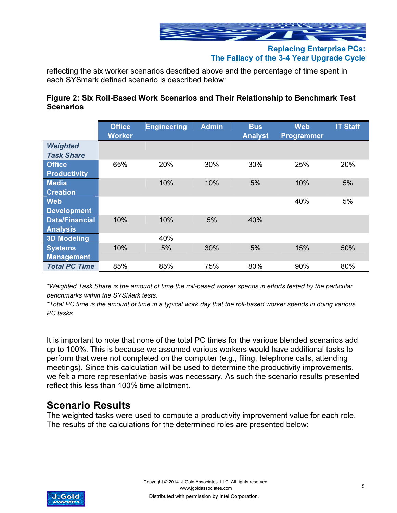

reflecting the six worker scenarios described above and the percentage of time spent in each SYSmark defined scenario is described below:

#### Figure 2: Six Roll-Based Work Scenarios and Their Relationship to Benchmark Test **Scenarios**

|                                          | <b>Office</b><br><b>Worker</b> | <b>Engineering</b> | <b>Admin</b> | <b>Bus</b><br><b>Analyst</b> | <b>Web</b><br><b>Programmer</b> | <b>IT Staff</b> |
|------------------------------------------|--------------------------------|--------------------|--------------|------------------------------|---------------------------------|-----------------|
| <b>Weighted</b><br><b>Task Share</b>     |                                |                    |              |                              |                                 |                 |
| <b>Office</b>                            | 65%                            | 20%                | 30%          | 30%                          | 25%                             | 20%             |
| <b>Productivity</b><br><b>Media</b>      |                                | 10%                | 10%          | 5%                           | 10%                             | 5%              |
| <b>Creation</b>                          |                                |                    |              |                              |                                 |                 |
| <b>Web</b><br><b>Development</b>         |                                |                    |              |                              | 40%                             | 5%              |
| <b>Data/Financial</b><br><b>Analysis</b> | 10%                            | 10%                | 5%           | 40%                          |                                 |                 |
| <b>3D Modeling</b>                       |                                | 40%                |              |                              |                                 |                 |
| <b>Systems</b><br><b>Management</b>      | 10%                            | 5%                 | 30%          | 5%                           | 15%                             | 50%             |
| <b>Total PC Time</b>                     | 85%                            | 85%                | 75%          | 80%                          | 90%                             | 80%             |

\*Weighted Task Share is the amount of time the roll-based worker spends in efforts tested by the particular benchmarks within the SYSMark tests.

\*Total PC time is the amount of time in a typical work day that the roll-based worker spends in doing various PC tasks

It is important to note that none of the total PC times for the various blended scenarios add up to 100%. This is because we assumed various workers would have additional tasks to perform that were not completed on the computer (e.g., filing, telephone calls, attending meetings). Since this calculation will be used to determine the productivity improvements, we felt a more representative basis was necessary. As such the scenario results presented reflect this less than 100% time allotment.

# Scenario Results

The weighted tasks were used to compute a productivity improvement value for each role. The results of the calculations for the determined roles are presented below:

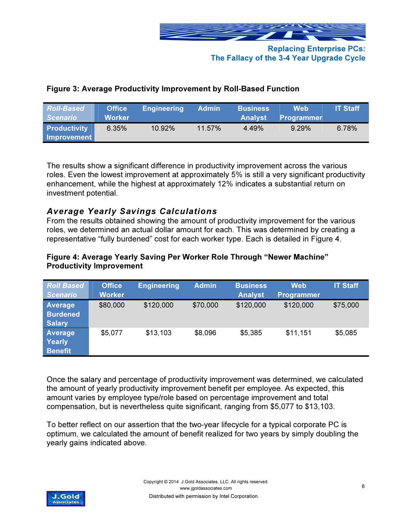

### Figure 3: Average Productivity Improvement by Roll-Based Function

| <b>Roll-Based</b><br><b>Scenario</b> | <b>Office</b><br><b>Worker</b> | <b>Engineering</b> | <b>Admin</b> | <b>Business</b><br><b>Analyst</b> | <b>Web</b><br><b>Programmer</b> | <b>IT Staff</b> |
|--------------------------------------|--------------------------------|--------------------|--------------|-----------------------------------|---------------------------------|-----------------|
| <b>Productivity</b><br>Improvement   | 6.35%                          | $10.92\%$          | $11.57\%$    | 4.49%                             | 9.29%                           | 6.78%           |

The results show a significant difference in productivity improvement across the various roles. Even the lowest improvement at approximately 5% is still a very significant productivity enhancement, while the highest at approximately 12% indicates a substantial return on investment potential.

# Average Yearly Savings Calculations

From the results obtained showing the amount of productivity improvement for the various roles, we determined an actual dollar amount for each. This was determined by creating a representative "fully burdened" cost for each worker type. Each is detailed in Figure 4.

#### Figure 4: Average Yearly Saving Per Worker Role Through "Newer Machine" Productivity Improvement

| <b>Roll Based</b><br><b>Scenario</b>               | <b>Office</b><br><b>Worker</b> | <b>Engineering</b> | <b>Admin</b> | <b>Business</b><br><b>Analyst</b> | <b>Web</b><br>Programmer | <b>IT Staff</b> |
|----------------------------------------------------|--------------------------------|--------------------|--------------|-----------------------------------|--------------------------|-----------------|
| <b>Average</b><br><b>Burdened</b><br><b>Salary</b> | \$80,000                       | \$120,000          | \$70,000     | \$120,000                         | \$120,000                | \$75,000        |
| <b>Average</b><br><b>Yearly</b><br><b>Benefit</b>  | \$5,077                        | \$13,103           | \$8,096      | \$5,385                           | \$11,151                 | \$5,085         |

Once the salary and percentage of productivity improvement was determined, we calculated the amount of yearly productivity improvement benefit per employee. As expected, this amount varies by employee type/role based on percentage improvement and total compensation, but is nevertheless quite significant, ranging from \$5,077 to \$13,103.

To better reflect on our assertion that the two-year lifecycle for a typical corporate PC is optimum, we calculated the amount of benefit realized for two years by simply doubling the yearly gains indicated above.

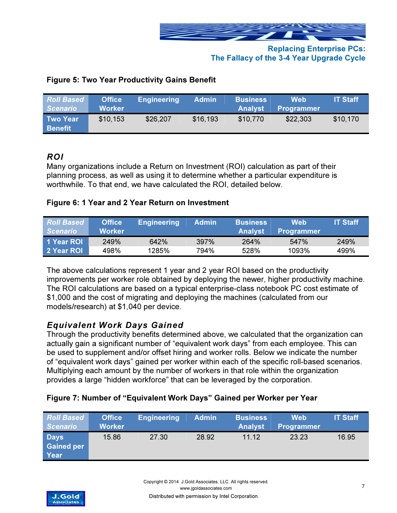

| <b>Roll Based</b><br><b>Scenario</b> | <b>Office</b><br>Worker | Engineering | <b>Admin</b> | <b>Business</b><br><b>Analyst</b> | Web<br><b>Programmer</b> | <b>IT Staff</b> |
|--------------------------------------|-------------------------|-------------|--------------|-----------------------------------|--------------------------|-----------------|
| <b>Two Year</b><br><b>Benefit</b>    | \$10,153                | \$26,207    | \$16,193     | \$10,770                          | \$22,303                 | \$10,170        |

#### Figure 5: Two Year Productivity Gains Benefit

### ROI

Many organizations include a Return on Investment (ROI) calculation as part of their planning process, as well as using it to determine whether a particular expenditure is worthwhile. To that end, we have calculated the ROI, detailed below.

#### Figure 6: 1 Year and 2 Year Return on Investment

| <b>Roll Based</b> | <b>Office</b> | <b>Engineering</b> | <b>Admin</b> | <b>Business</b> | Web               | <b>IT Staff</b> |
|-------------------|---------------|--------------------|--------------|-----------------|-------------------|-----------------|
| <b>Scenario</b>   | Worker        |                    |              | <b>Analyst</b>  | <b>Programmer</b> |                 |
| 1 Year ROI        | 249%          | 642%               | 397%         | 264%            | 547%              | 249%            |
| 2 Year ROL        | 498%          | 1285%              | 794%         | 528%            | 1093%             | 499%            |

The above calculations represent 1 year and 2 year ROI based on the productivity improvements per worker role obtained by deploying the newer, higher productivity machine. The ROI calculations are based on a typical enterprise-class notebook PC cost estimate of \$1,000 and the cost of migrating and deploying the machines (calculated from our models/research) at \$1,040 per device.

# Equivalent Work Days Gained

Through the productivity benefits determined above, we calculated that the organization can actually gain a significant number of "equivalent work days" from each employee. This can be used to supplement and/or offset hiring and worker rolls. Below we indicate the number of "equivalent work days" gained per worker within each of the specific roll-based scenarios. Multiplying each amount by the number of workers in that role within the organization provides a large "hidden workforce" that can be leveraged by the corporation.

#### Figure 7: Number of "Equivalent Work Days" Gained per Worker per Year

| <b>Roll Based</b><br><b>Scenario</b>     | <b>Office</b><br><b>Worker</b> | Engineering | <b>Admin</b> | <b>Business</b><br><b>Analyst</b> | <b>Web</b><br><b>Programmer</b> | <b>IT Staff</b> |
|------------------------------------------|--------------------------------|-------------|--------------|-----------------------------------|---------------------------------|-----------------|
| <b>Days</b><br><b>Gained per</b><br>Year | 15.86                          | 27.30       | 28.92        | 11.12                             | 23.23                           | 16.95           |

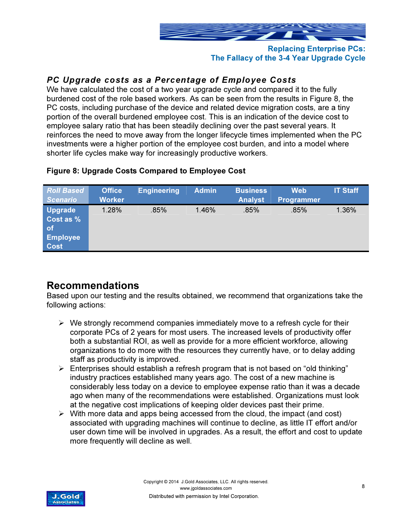

# PC Upgrade costs as a Percentage of Employee Costs

We have calculated the cost of a two year upgrade cycle and compared it to the fully burdened cost of the role based workers. As can be seen from the results in Figure 8, the PC costs, including purchase of the device and related device migration costs, are a tiny portion of the overall burdened employee cost. This is an indication of the device cost to employee salary ratio that has been steadily declining over the past several years. It reinforces the need to move away from the longer lifecycle times implemented when the PC investments were a higher portion of the employee cost burden, and into a model where shorter life cycles make way for increasingly productive workers.

| <b>Roll Based</b><br><b>Scenario</b>                                 | <b>Office</b><br><b>Worker</b> | <b>Engineering</b> | <b>Admin</b> | <b>Business</b><br><b>Analyst</b> | <b>Web</b><br>Programmer | <b>IT Staff</b> |
|----------------------------------------------------------------------|--------------------------------|--------------------|--------------|-----------------------------------|--------------------------|-----------------|
| <b>Upgrade</b><br>Cost as %<br>of/<br><b>Employee</b><br><b>Cost</b> | 1.28%                          | .85%               | 1.46%        | .85%                              | .85%                     | 1.36%           |

#### Figure 8: Upgrade Costs Compared to Employee Cost

# Recommendations

Based upon our testing and the results obtained, we recommend that organizations take the following actions:

- $\triangleright$  We strongly recommend companies immediately move to a refresh cycle for their corporate PCs of 2 years for most users. The increased levels of productivity offer both a substantial ROI, as well as provide for a more efficient workforce, allowing organizations to do more with the resources they currently have, or to delay adding staff as productivity is improved.
- $\triangleright$  Enterprises should establish a refresh program that is not based on "old thinking" industry practices established many years ago. The cost of a new machine is considerably less today on a device to employee expense ratio than it was a decade ago when many of the recommendations were established. Organizations must look at the negative cost implications of keeping older devices past their prime.
- $\triangleright$  With more data and apps being accessed from the cloud, the impact (and cost) associated with upgrading machines will continue to decline, as little IT effort and/or user down time will be involved in upgrades. As a result, the effort and cost to update more frequently will decline as well.

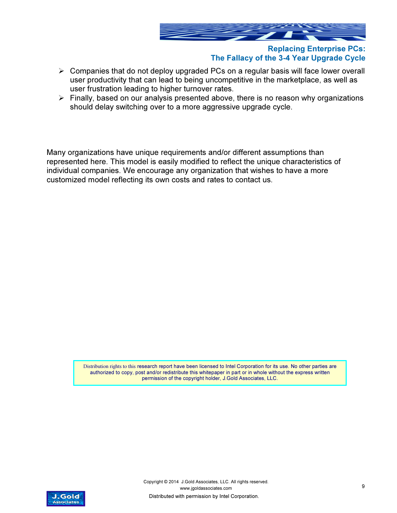

- $\triangleright$  Companies that do not deploy upgraded PCs on a regular basis will face lower overall user productivity that can lead to being uncompetitive in the marketplace, as well as user frustration leading to higher turnover rates.
- $\triangleright$  Finally, based on our analysis presented above, there is no reason why organizations should delay switching over to a more aggressive upgrade cycle.

Many organizations have unique requirements and/or different assumptions than represented here. This model is easily modified to reflect the unique characteristics of individual companies. We encourage any organization that wishes to have a more customized model reflecting its own costs and rates to contact us.

> Distribution rights to this research report have been licensed to Intel Corporation for its use. No other parties are authorized to copy, post and/or redistribute this whitepaper in part or in whole without the express written permission of the copyright holder, J.Gold Associates, LLC.

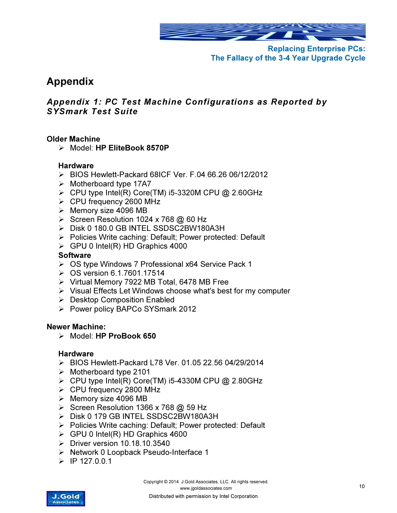

# Appendix

# Appendix 1: PC Test Machine Configurations as Reported by SYSmark Test Suite

#### Older Machine

Model: HP EliteBook 8570P

#### **Hardware**

- BIOS Hewlett-Packard 68ICF Ver. F.04 66.26 06/12/2012
- $\triangleright$  Motherboard type 17A7
- $\triangleright$  CPU type Intel(R) Core(TM) i5-3320M CPU @ 2.60GHz
- CPU frequency 2600 MHz
- $\triangleright$  Memory size 4096 MB
- Screen Resolution 1024 x 768  $@$  60 Hz
- Disk 0 180.0 GB INTEL SSDSC2BW180A3H
- ▶ Policies Write caching: Default; Power protected: Default
- $\triangleright$  GPU 0 Intel(R) HD Graphics 4000

#### **Software**

- OS type Windows 7 Professional x64 Service Pack 1
- OS version 6.1.7601.17514
- $\triangleright$  Virtual Memory 7922 MB Total, 6478 MB Free
- $\triangleright$  Visual Effects Let Windows choose what's best for my computer
- $\triangleright$  Desktop Composition Enabled
- Power policy BAPCo SYSmark 2012

#### Newer Machine:

Model: HP ProBook 650

#### **Hardware**

- BIOS Hewlett-Packard L78 Ver. 01.05 22.56 04/29/2014
- $\triangleright$  Motherboard type 2101
- $\triangleright$  CPU type Intel(R) Core(TM) i5-4330M CPU @ 2.80GHz
- CPU frequency 2800 MHz
- $\triangleright$  Memory size 4096 MB
- Screen Resolution 1366 x 768  $@$  59 Hz
- > Disk 0 179 GB INTEL SSDSC2BW180A3H
- ▶ Policies Write caching: Default; Power protected: Default
- $\triangleright$  GPU 0 Intel(R) HD Graphics 4600
- $\triangleright$  Driver version 10.18.10.3540
- ▶ Network 0 Loopback Pseudo-Interface 1
- $\triangleright$  IP 127.0.0.1

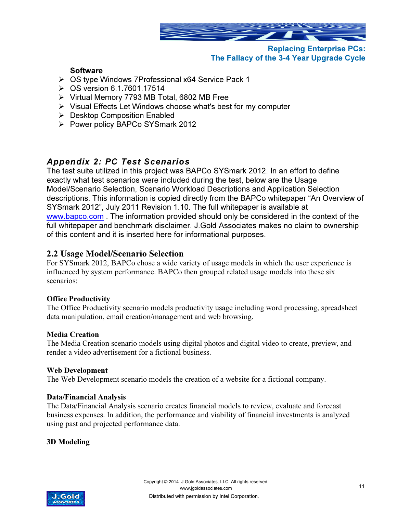

#### **Software**

- OS type Windows 7Professional x64 Service Pack 1
- $\triangleright$  OS version 6.1.7601.17514
- $\triangleright$  Virtual Memory 7793 MB Total, 6802 MB Free
- $\triangleright$  Visual Effects Let Windows choose what's best for my computer
- **▶ Desktop Composition Enabled**
- $\triangleright$  Power policy BAPCo SYSmark 2012

### Appendix 2: PC Test Scenarios

The test suite utilized in this project was BAPCo SYSmark 2012. In an effort to define exactly what test scenarios were included during the test, below are the Usage Model/Scenario Selection, Scenario Workload Descriptions and Application Selection descriptions. This information is copied directly from the BAPCo whitepaper "An Overview of SYSmark 2012", July 2011 Revision 1.10. The full whitepaper is available at www.bapco.com. The information provided should only be considered in the context of the full whitepaper and benchmark disclaimer. J.Gold Associates makes no claim to ownership of this content and it is inserted here for informational purposes.

### 2.2 Usage Model/Scenario Selection

For SYSmark 2012, BAPCo chose a wide variety of usage models in which the user experience is influenced by system performance. BAPCo then grouped related usage models into these six scenarios:

#### Office Productivity

The Office Productivity scenario models productivity usage including word processing, spreadsheet data manipulation, email creation/management and web browsing.

#### Media Creation

The Media Creation scenario models using digital photos and digital video to create, preview, and render a video advertisement for a fictional business.

#### Web Development

The Web Development scenario models the creation of a website for a fictional company.

#### Data/Financial Analysis

The Data/Financial Analysis scenario creates financial models to review, evaluate and forecast business expenses. In addition, the performance and viability of financial investments is analyzed using past and projected performance data.

#### 3D Modeling

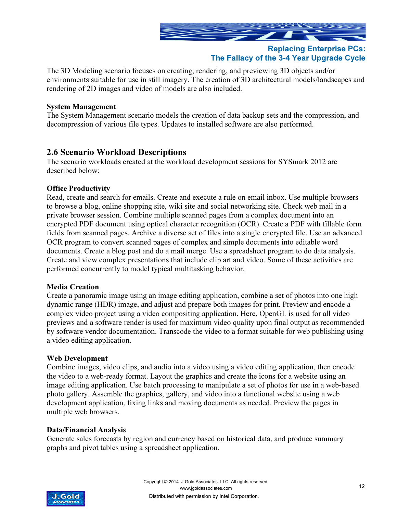

The 3D Modeling scenario focuses on creating, rendering, and previewing 3D objects and/or environments suitable for use in still imagery. The creation of 3D architectural models/landscapes and rendering of 2D images and video of models are also included.

#### System Management

The System Management scenario models the creation of data backup sets and the compression, and decompression of various file types. Updates to installed software are also performed.

#### 2.6 Scenario Workload Descriptions

The scenario workloads created at the workload development sessions for SYSmark 2012 are described below:

#### Office Productivity

Read, create and search for emails. Create and execute a rule on email inbox. Use multiple browsers to browse a blog, online shopping site, wiki site and social networking site. Check web mail in a private browser session. Combine multiple scanned pages from a complex document into an encrypted PDF document using optical character recognition (OCR). Create a PDF with fillable form fields from scanned pages. Archive a diverse set of files into a single encrypted file. Use an advanced OCR program to convert scanned pages of complex and simple documents into editable word documents. Create a blog post and do a mail merge. Use a spreadsheet program to do data analysis. Create and view complex presentations that include clip art and video. Some of these activities are performed concurrently to model typical multitasking behavior.

#### Media Creation

Create a panoramic image using an image editing application, combine a set of photos into one high dynamic range (HDR) image, and adjust and prepare both images for print. Preview and encode a complex video project using a video compositing application. Here, OpenGL is used for all video previews and a software render is used for maximum video quality upon final output as recommended by software vendor documentation. Transcode the video to a format suitable for web publishing using a video editing application.

#### Web Development

Combine images, video clips, and audio into a video using a video editing application, then encode the video to a web-ready format. Layout the graphics and create the icons for a website using an image editing application. Use batch processing to manipulate a set of photos for use in a web-based photo gallery. Assemble the graphics, gallery, and video into a functional website using a web development application, fixing links and moving documents as needed. Preview the pages in multiple web browsers.

#### Data/Financial Analysis

Generate sales forecasts by region and currency based on historical data, and produce summary graphs and pivot tables using a spreadsheet application.

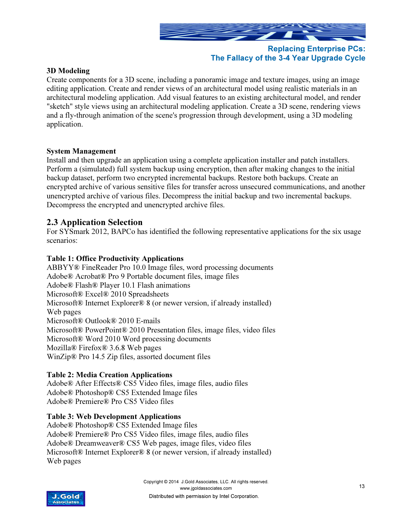

#### 3D Modeling

Create components for a 3D scene, including a panoramic image and texture images, using an image editing application. Create and render views of an architectural model using realistic materials in an architectural modeling application. Add visual features to an existing architectural model, and render "sketch" style views using an architectural modeling application. Create a 3D scene, rendering views and a fly-through animation of the scene's progression through development, using a 3D modeling application.

#### System Management

Install and then upgrade an application using a complete application installer and patch installers. Perform a (simulated) full system backup using encryption, then after making changes to the initial backup dataset, perform two encrypted incremental backups. Restore both backups. Create an encrypted archive of various sensitive files for transfer across unsecured communications, and another unencrypted archive of various files. Decompress the initial backup and two incremental backups. Decompress the encrypted and unencrypted archive files.

#### 2.3 Application Selection

For SYSmark 2012, BAPCo has identified the following representative applications for the six usage scenarios:

#### Table 1: Office Productivity Applications

ABBYY® FineReader Pro 10.0 Image files, word processing documents Adobe® Acrobat® Pro 9 Portable document files, image files Adobe® Flash® Player 10.1 Flash animations Microsoft® Excel® 2010 Spreadsheets Microsoft® Internet Explorer® 8 (or newer version, if already installed) Web pages Microsoft® Outlook® 2010 E-mails Microsoft® PowerPoint® 2010 Presentation files, image files, video files Microsoft® Word 2010 Word processing documents Mozilla® Firefox® 3.6.8 Web pages WinZip® Pro 14.5 Zip files, assorted document files

#### Table 2: Media Creation Applications

Adobe® After Effects® CS5 Video files, image files, audio files Adobe® Photoshop® CS5 Extended Image files Adobe® Premiere® Pro CS5 Video files

#### Table 3: Web Development Applications

Adobe® Photoshop® CS5 Extended Image files Adobe® Premiere® Pro CS5 Video files, image files, audio files Adobe® Dreamweaver® CS5 Web pages, image files, video files Microsoft® Internet Explorer® 8 (or newer version, if already installed) Web pages

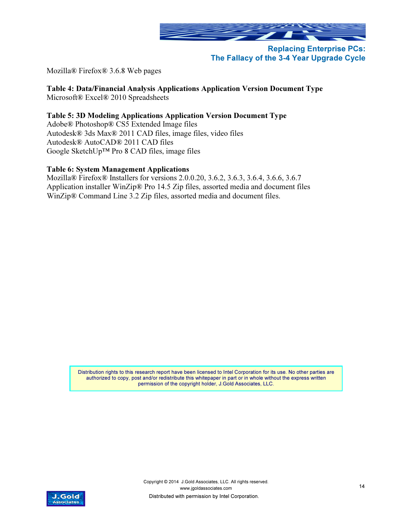

Mozilla® Firefox® 3.6.8 Web pages

#### Table 4: Data/Financial Analysis Applications Application Version Document Type

Microsoft® Excel® 2010 Spreadsheets

#### Table 5: 3D Modeling Applications Application Version Document Type

Adobe® Photoshop® CS5 Extended Image files Autodesk® 3ds Max® 2011 CAD files, image files, video files Autodesk® AutoCAD® 2011 CAD files Google SketchUp™ Pro 8 CAD files, image files

#### Table 6: System Management Applications

Mozilla® Firefox® Installers for versions 2.0.0.20, 3.6.2, 3.6.3, 3.6.4, 3.6.6, 3.6.7 Application installer WinZip® Pro 14.5 Zip files, assorted media and document files WinZip® Command Line 3.2 Zip files, assorted media and document files.

> Distribution rights to this research report have been licensed to Intel Corporation for its use. No other parties are authorized to copy, post and/or redistribute this whitepaper in part or in whole without the express written permission of the copyright holder, J.Gold Associates, LLC.